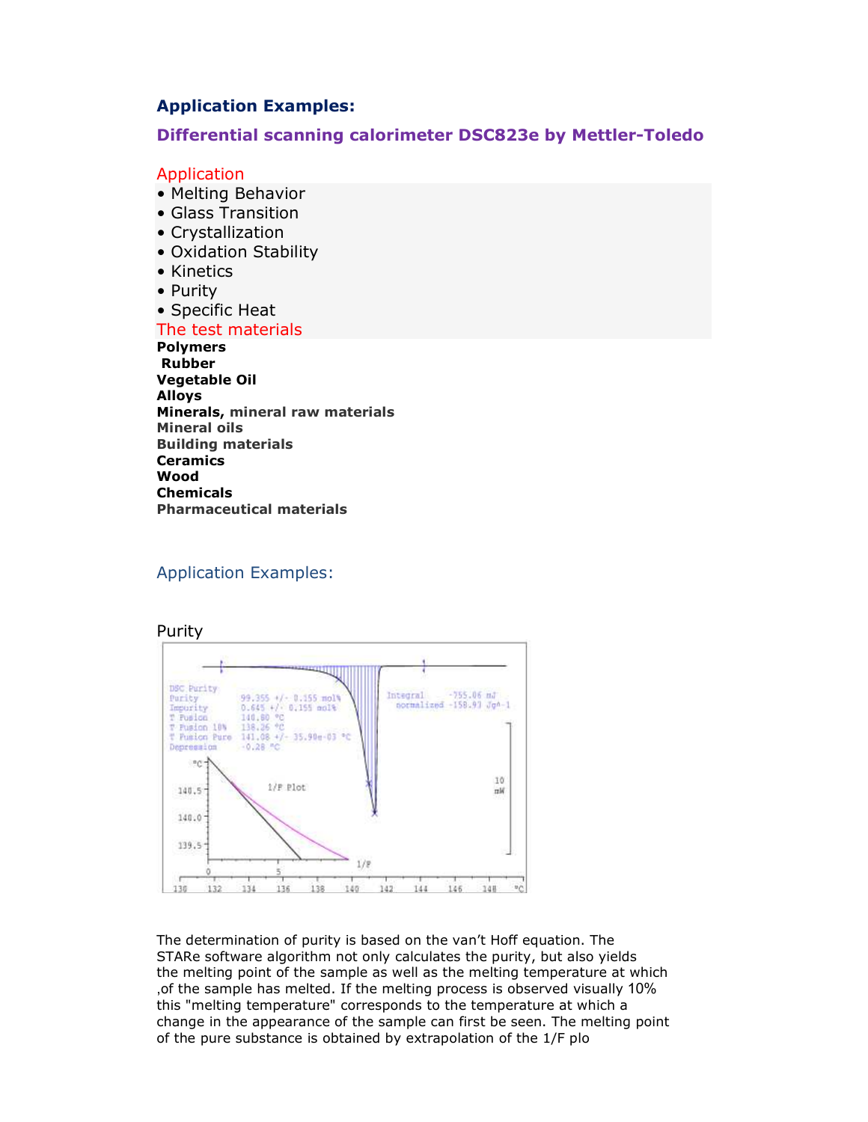# **Application Examples:**

# **Differential scanning calorimeter DSC823e by Mettler-Toledo**

### Application

- Melting Behavior
- Glass Transition
- Crystallization
- Oxidation Stability
- Kinetics
- Purity
- Specific Heat

### The test materials

 **Polymers Rubber Vegetable Oil Alloys Minerals, mineral raw materials Mineral oils Building materials Ceramics Wood Chemicals Pharmaceutical materials**

### Application Examples:



The determination of purity is based on the van't Hoff equation. The STARe software algorithm not only calculates the purity, but also yields the melting point of the sample as well as the melting temperature at which ,of the sample has melted. If the melting process is observed visually 10% this "melting temperature" corresponds to the temperature at which a change in the appearance of the sample can first be seen. The melting point of the pure substance is obtained by extrapolation of the 1/F plo